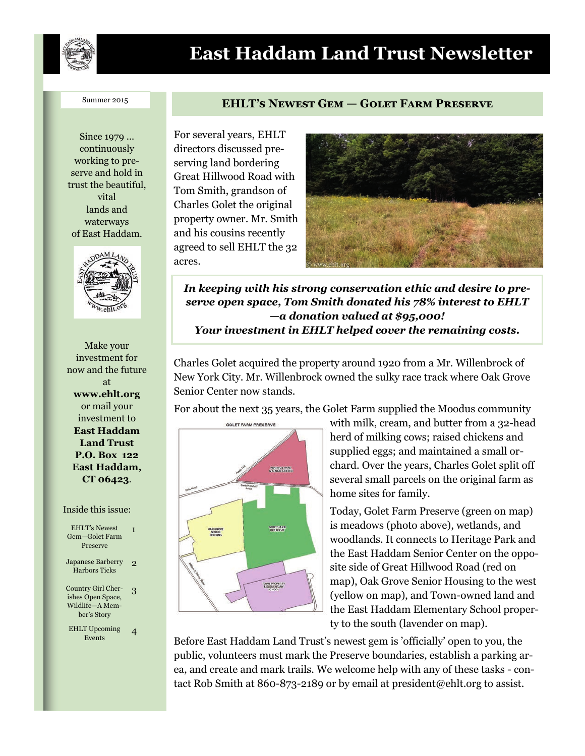

# **East Haddam Land Trust Newsletter**

#### Summer 2015

Since 1979 ... continuously working to preserve and hold in trust the beautiful, vital lands and waterways of East Haddam.



Make your investment for now and the future at **www.ehlt.org** or mail your investment to **East Haddam Land Trust P.O. Box 122 East Haddam, CT 06423**.

#### Inside this issue:

| <b>EHLT's Newest</b><br>Gem-Golet Farm<br>Preserve                        | 1 |
|---------------------------------------------------------------------------|---|
| Japanese Barberry<br><b>Harbors Ticks</b>                                 | 9 |
| Country Girl Cher-<br>ishes Open Space,<br>Wildlife—A Mem-<br>ber's Story | 3 |
| <b>EHLT</b> Upcoming<br>Events                                            | 4 |

#### **EHLT's Newest Gem — Golet Farm Preserve**

For several years, EHLT directors discussed preserving land bordering Great Hillwood Road with Tom Smith, grandson of Charles Golet the original property owner. Mr. Smith and his cousins recently agreed to sell EHLT the 32 acres.



*In keeping with his strong conservation ethic and desire to preserve open space, Tom Smith donated his 78% interest to EHLT —a donation valued at \$95,000! Your investment in EHLT helped cover the remaining costs.*

Charles Golet acquired the property around 1920 from a Mr. Willenbrock of New York City. Mr. Willenbrock owned the sulky race track where Oak Grove Senior Center now stands.

For about the next 35 years, the Golet Farm supplied the Moodus community



with milk, cream, and butter from a 32-head herd of milking cows; raised chickens and supplied eggs; and maintained a small orchard. Over the years, Charles Golet split off several small parcels on the original farm as home sites for family.

Today, Golet Farm Preserve (green on map) is meadows (photo above), wetlands, and woodlands. It connects to Heritage Park and the East Haddam Senior Center on the opposite side of Great Hillwood Road (red on map), Oak Grove Senior Housing to the west (yellow on map), and Town-owned land and the East Haddam Elementary School property to the south (lavender on map).

Before East Haddam Land Trust's newest gem is 'officially' open to you, the public, volunteers must mark the Preserve boundaries, establish a parking area, and create and mark trails. We welcome help with any of these tasks - contact Rob Smith at 860-873-2189 or by email at president@ehlt.org to assist.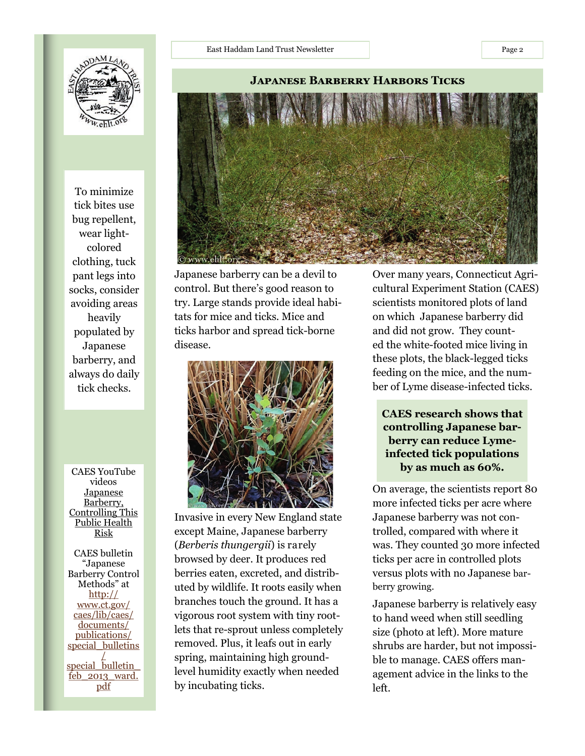To minimize tick bites use bug repellent, wear lightcolored clothing, tuck pant legs into socks, consider avoiding areas heavily populated by Japanese barberry, and always do daily tick checks.

CAES YouTube videos Japanese Barberry, Controlling This Public Health Risk

CAES bulletin "Japanese Barberry Control Methods" at [http://](http://www.ct.gov/caes/lib/caes/documents/publications/special_bulletins/special_bulletin_feb_2013_ward.pdf) [www.ct.gov/](http://www.ct.gov/caes/lib/caes/documents/publications/special_bulletins/special_bulletin_feb_2013_ward.pdf) [caes/lib/caes/](http://www.ct.gov/caes/lib/caes/documents/publications/special_bulletins/special_bulletin_feb_2013_ward.pdf) [documents/](http://www.ct.gov/caes/lib/caes/documents/publications/special_bulletins/special_bulletin_feb_2013_ward.pdf) [publications/](http://www.ct.gov/caes/lib/caes/documents/publications/special_bulletins/special_bulletin_feb_2013_ward.pdf) special bulletins [/](http://www.ct.gov/caes/lib/caes/documents/publications/special_bulletins/special_bulletin_feb_2013_ward.pdf) special\_bulletin [feb\\_2013\\_ward.](http://www.ct.gov/caes/lib/caes/documents/publications/special_bulletins/special_bulletin_feb_2013_ward.pdf) [pdf](http://www.ct.gov/caes/lib/caes/documents/publications/special_bulletins/special_bulletin_feb_2013_ward.pdf)

Japanese barberry can be a devil to control. But there's good reason to try. Large stands provide ideal habitats for mice and ticks. Mice and ticks harbor and spread tick-borne disease.



Invasive in every New England state except Maine, Japanese barberry (*Berberis thungergii*) is rarely browsed by deer. It produces red berries eaten, excreted, and distributed by wildlife. It roots easily when branches touch the ground. It has a vigorous root system with tiny rootlets that re-sprout unless completely removed. Plus, it leafs out in early spring, maintaining high groundlevel humidity exactly when needed by incubating ticks.

Over many years, Connecticut Agricultural Experiment Station (CAES) scientists monitored plots of land on which Japanese barberry did and did not grow. They counted the white-footed mice living in these plots, the black-legged ticks feeding on the mice, and the number of Lyme disease-infected ticks.

**CAES research shows that controlling Japanese barberry can reduce Lymeinfected tick populations by as much as 60%.**

On average, the scientists report 80 more infected ticks per acre where Japanese barberry was not controlled, compared with where it was. They counted 30 more infected ticks per acre in controlled plots versus plots with no Japanese barberry growing.

Japanese barberry is relatively easy to hand weed when still seedling size (photo at left). More mature shrubs are harder, but not impossible to manage. CAES offers management advice in the links to the left.

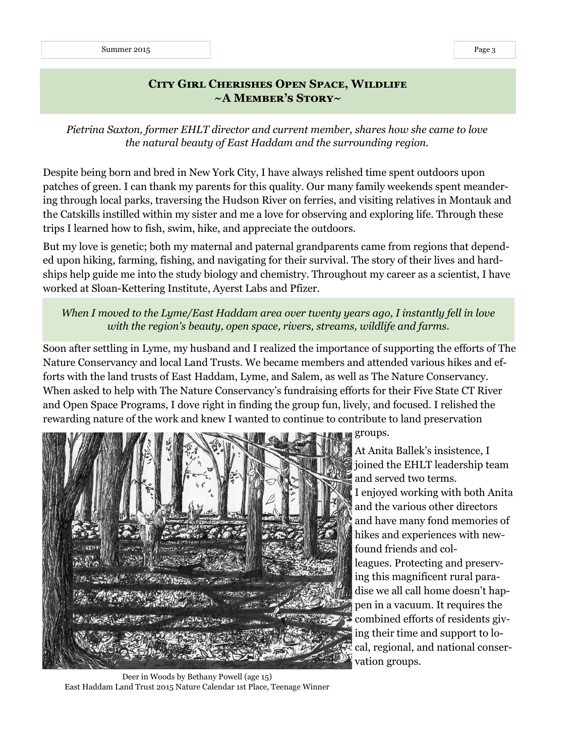## **City Girl Cherishes Open Space, Wildlife ~A Member's Story~**

*Pietrina Saxton, former EHLT director and current member, shares how she came to love the natural beauty of East Haddam and the surrounding region.*

Despite being born and bred in New York City, I have always relished time spent outdoors upon patches of green. I can thank my parents for this quality. Our many family weekends spent meandering through local parks, traversing the Hudson River on ferries, and visiting relatives in Montauk and the Catskills instilled within my sister and me a love for observing and exploring life. Through these trips I learned how to fish, swim, hike, and appreciate the outdoors.

But my love is genetic; both my maternal and paternal grandparents came from regions that depended upon hiking, farming, fishing, and navigating for their survival. The story of their lives and hardships help guide me into the study biology and chemistry. Throughout my career as a scientist, I have worked at Sloan-Kettering Institute, Ayerst Labs and Pfizer.

## *When I moved to the Lyme/East Haddam area over twenty years ago, I instantly fell in love with the region's beauty, open space, rivers, streams, wildlife and farms.*

Soon after settling in Lyme, my husband and I realized the importance of supporting the efforts of The Nature Conservancy and local Land Trusts. We became members and attended various hikes and efforts with the land trusts of East Haddam, Lyme, and Salem, as well as The Nature Conservancy. When asked to help with The Nature Conservancy's fundraising efforts for their Five State CT River and Open Space Programs, I dove right in finding the group fun, lively, and focused. I relished the rewarding nature of the work and knew I wanted to continue to contribute to land preservation



At Anita Ballek's insistence, I joined the EHLT leadership team and served two terms. I enjoyed working with both Anita and the various other directors and have many fond memories of hikes and experiences with newfound friends and colleagues. Protecting and preserving this magnificent rural paradise we all call home doesn't happen in a vacuum. It requires the combined efforts of residents giving their time and support to local, regional, and national conservation groups.

Deer in Woods by Bethany Powell (age 15) East Haddam Land Trust 2015 Nature Calendar 1st Place, Teenage Winner